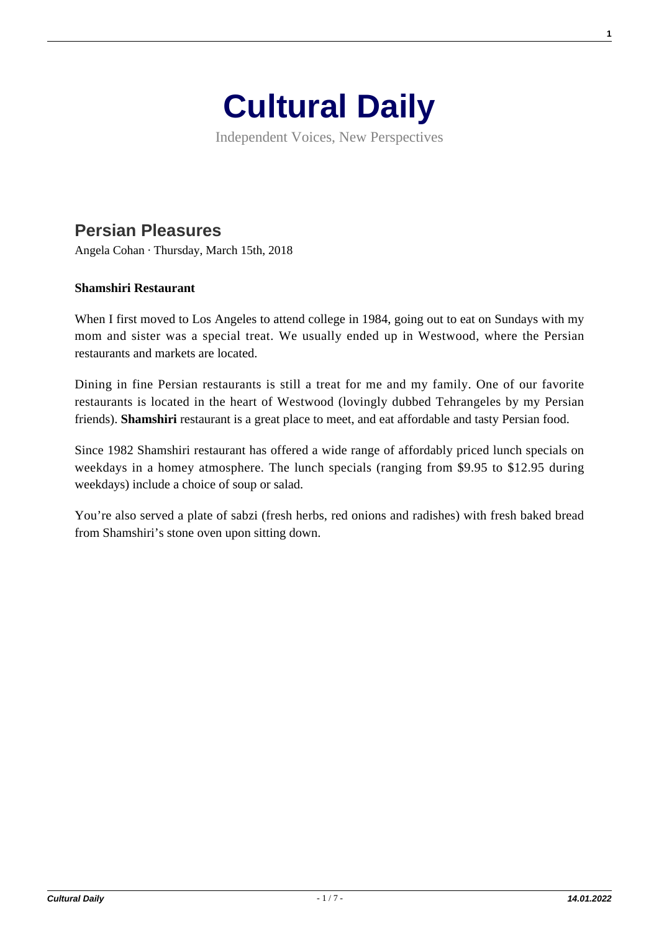

Independent Voices, New Perspectives

## **[Persian Pleasures](https://culturaldaily.com/persian-pleasures/)**

Angela Cohan · Thursday, March 15th, 2018

## **Shamshiri Restaurant**

When I first moved to Los Angeles to attend college in 1984, going out to eat on Sundays with my mom and sister was a special treat. We usually ended up in Westwood, where the Persian restaurants and markets are located.

Dining in fine Persian restaurants is still a treat for me and my family. One of our favorite restaurants is located in the heart of Westwood (lovingly dubbed Tehrangeles by my Persian friends). **Shamshiri** restaurant is a great place to meet, and eat affordable and tasty Persian food.

Since 1982 Shamshiri restaurant has offered a wide range of affordably priced lunch specials on weekdays in a homey atmosphere. The lunch specials (ranging from \$9.95 to \$12.95 during weekdays) include a choice of soup or salad.

You're also served a plate of sabzi (fresh herbs, red onions and radishes) with fresh baked bread from Shamshiri's stone oven upon sitting down.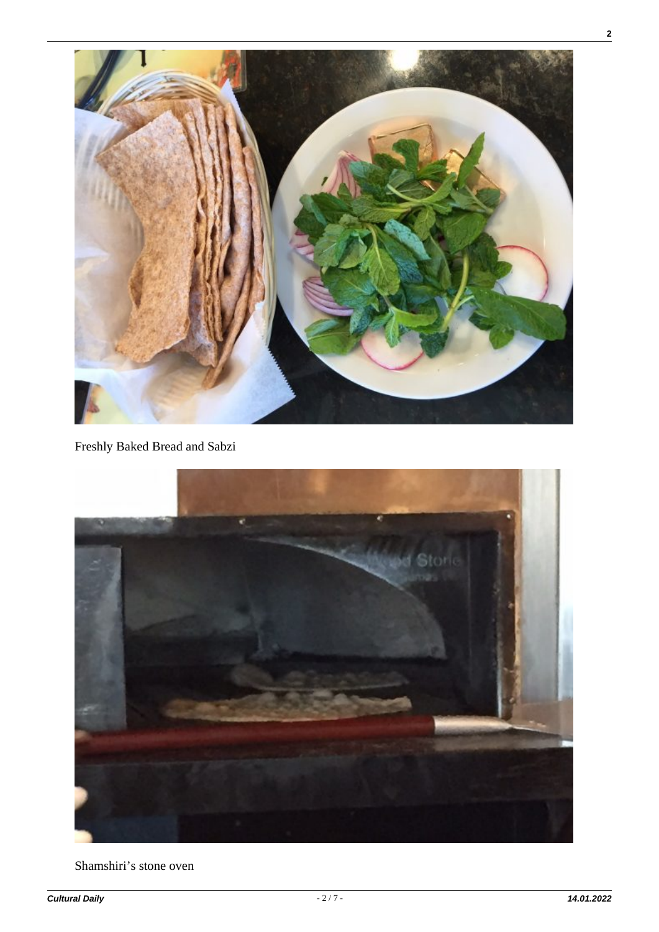

## Freshly Baked Bread and Sabzi



Shamshiri's stone oven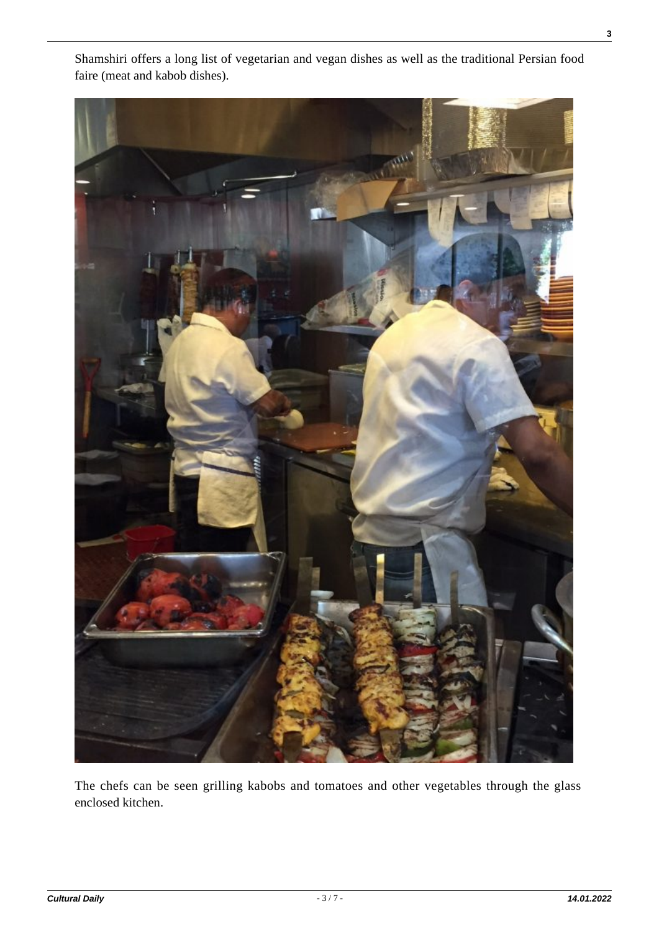

Shamshiri offers a long list of vegetarian and vegan dishes as well as the traditional Persian food faire (meat and kabob dishes).

The chefs can be seen grilling kabobs and tomatoes and other vegetables through the glass enclosed kitchen.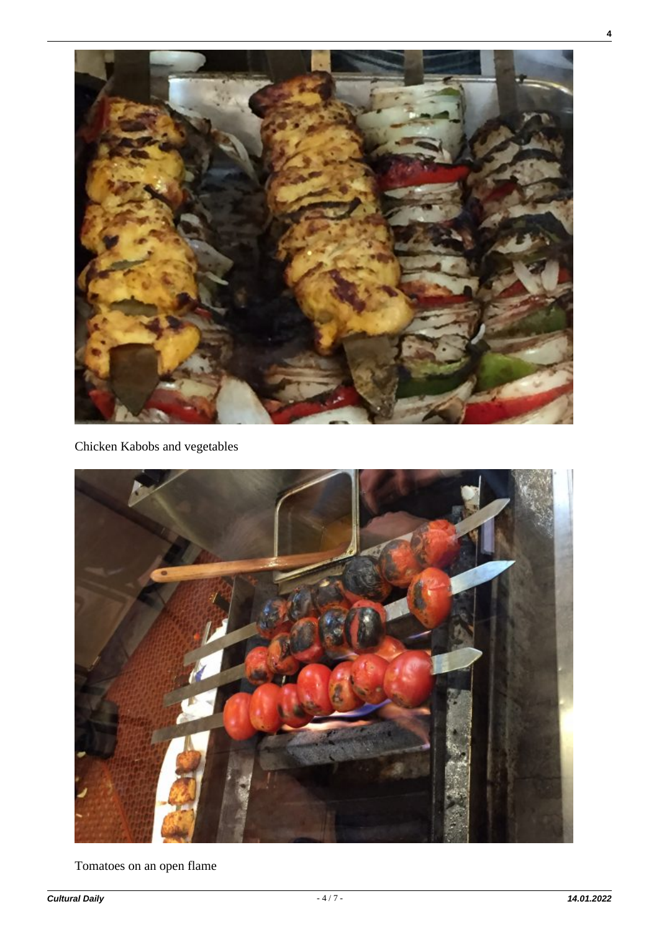

Chicken Kabobs and vegetables



Tomatoes on an open flame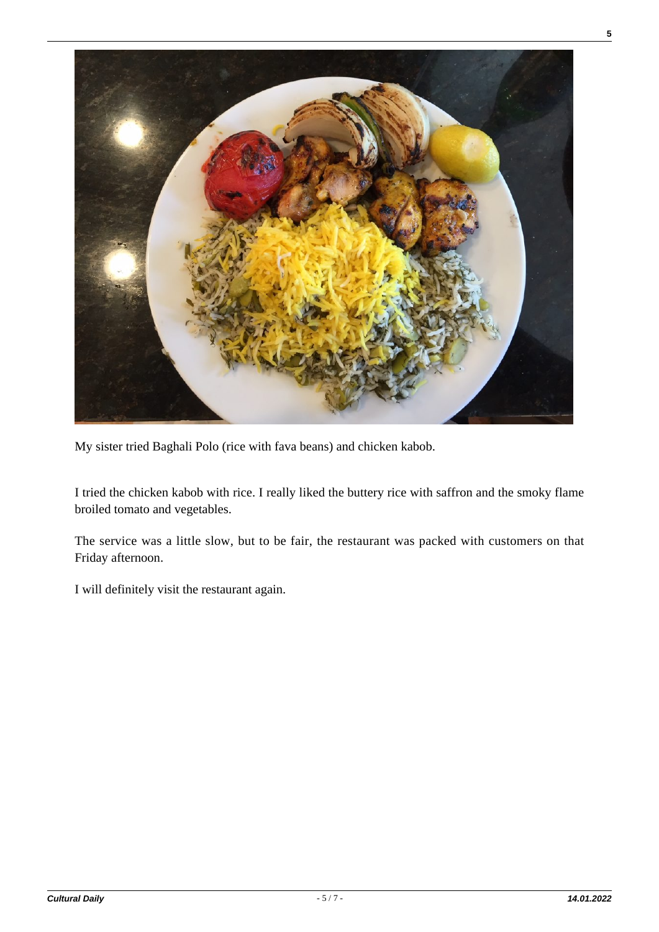

My sister tried Baghali Polo (rice with fava beans) and chicken kabob.

I tried the chicken kabob with rice. I really liked the buttery rice with saffron and the smoky flame broiled tomato and vegetables.

The service was a little slow, but to be fair, the restaurant was packed with customers on that Friday afternoon.

I will definitely visit the restaurant again.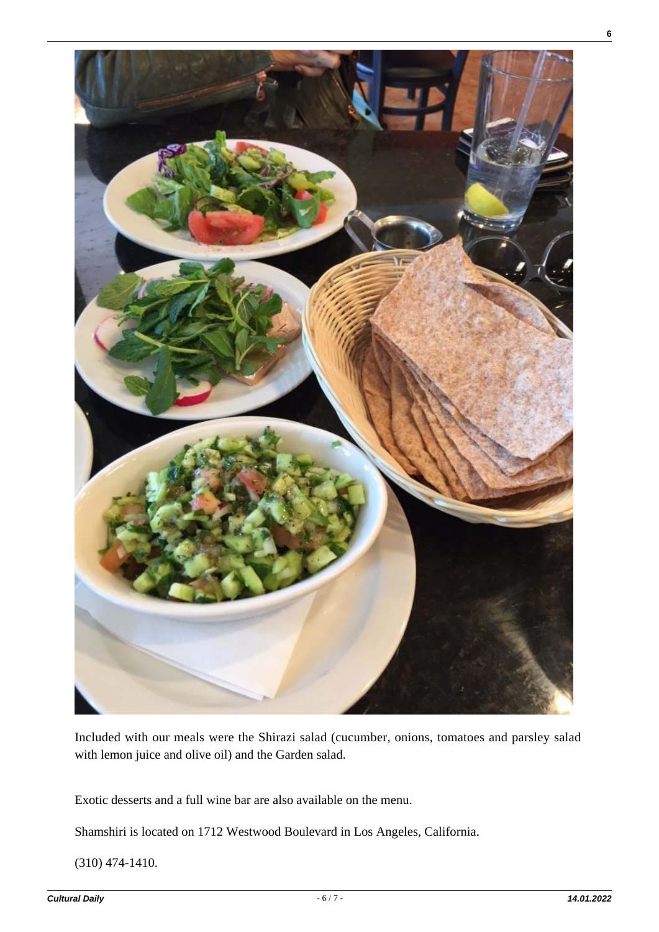

Included with our meals were the Shirazi salad (cucumber, onions, tomatoes and parsley salad with lemon juice and olive oil) and the Garden salad.

Exotic desserts and a full wine bar are also available on the menu.

Shamshiri is located on 1712 Westwood Boulevard in Los Angeles, California.

(310) 474-1410.